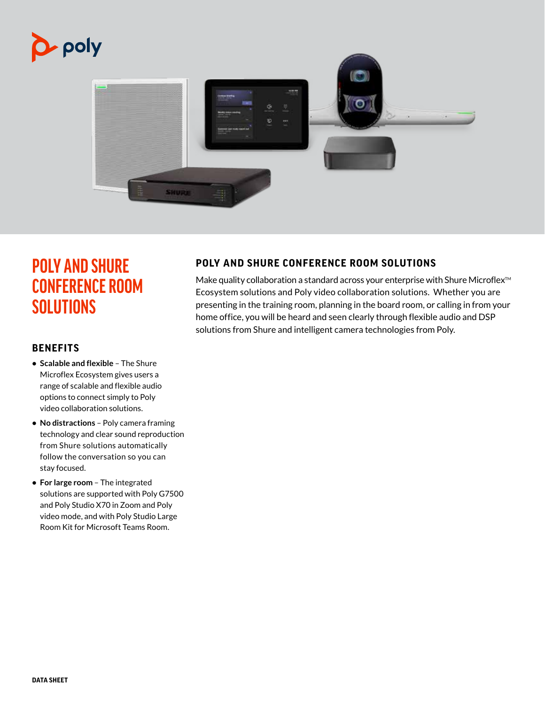



# **POLY AND SHURE CONFERENCE ROOM SOLUTIONS**

## **BENEFITS**

- **• Scalable and flexible** The Shure Microflex Ecosystem gives users a range of scalable and flexible audio options to connect simply to Poly video collaboration solutions.
- **• No distractions** Poly camera framing technology and clear sound reproduction from Shure solutions automatically follow the conversation so you can stay focused.
- **• For large room** The integrated solutions are supported with Poly G7500 and Poly Studio X70 in Zoom and Poly video mode, and with Poly Studio Large Room Kit for Microsoft Teams Room.

## **POLY AND SHURE CONFERENCE ROOM SOLUTIONS**

Make quality collaboration a standard across your enterprise with Shure Microflex<sup>™</sup> Ecosystem solutions and Poly video collaboration solutions. Whether you are presenting in the training room, planning in the board room, or calling in from your home office, you will be heard and seen clearly through flexible audio and DSP solutions from Shure and intelligent camera technologies from Poly.